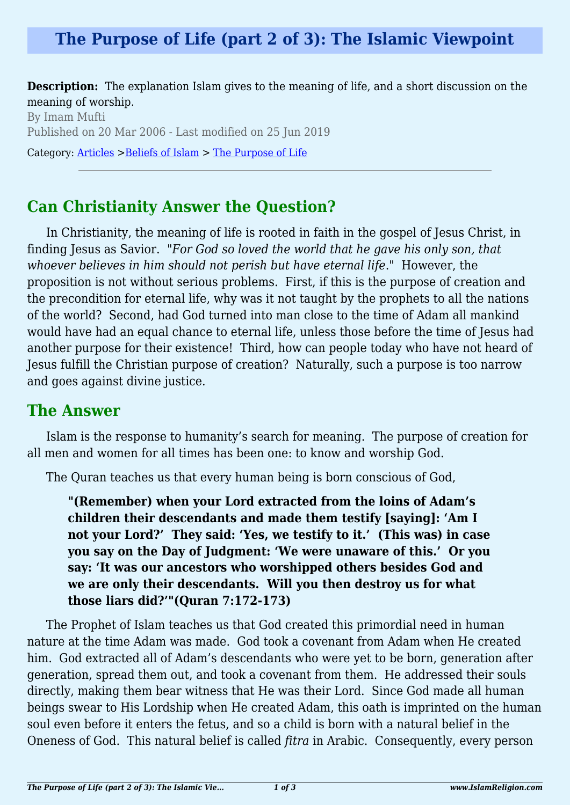# **The Purpose of Life (part 2 of 3): The Islamic Viewpoint**

**Description:** The explanation Islam gives to the meaning of life, and a short discussion on the meaning of worship.

By Imam Mufti Published on 20 Mar 2006 - Last modified on 25 Jun 2019 Category: [Articles](http://www.islamreligion.com/articles/) >[Beliefs of Islam](http://www.islamreligion.com/category/48/) > [The Purpose of Life](http://www.islamreligion.com/category/52/)

## **Can Christianity Answer the Question?**

In Christianity, the meaning of life is rooted in faith in the gospel of Jesus Christ, in finding Jesus as Savior. "*For God so loved the world that he gave his only son, that whoever believes in him should not perish but have eternal life*." However, the proposition is not without serious problems. First, if this is the purpose of creation and the precondition for eternal life, why was it not taught by the prophets to all the nations of the world? Second, had God turned into man close to the time of Adam all mankind would have had an equal chance to eternal life, unless those before the time of Jesus had another purpose for their existence! Third, how can people today who have not heard of Jesus fulfill the Christian purpose of creation? Naturally, such a purpose is too narrow and goes against divine justice.

### **The Answer**

Islam is the response to humanity's search for meaning. The purpose of creation for all men and women for all times has been one: to know and worship God.

The Quran teaches us that every human being is born conscious of God,

**"(Remember) when your Lord extracted from the loins of Adam's children their descendants and made them testify [saying]: 'Am I not your Lord?' They said: 'Yes, we testify to it.' (This was) in case you say on the Day of Judgment: 'We were unaware of this.' Or you say: 'It was our ancestors who worshipped others besides God and we are only their descendants. Will you then destroy us for what those liars did?'"(Quran 7:172-173)**

The Prophet of Islam teaches us that God created this primordial need in human nature at the time Adam was made. God took a covenant from Adam when He created him. God extracted all of Adam's descendants who were yet to be born, generation after generation, spread them out, and took a covenant from them. He addressed their souls directly, making them bear witness that He was their Lord. Since God made all human beings swear to His Lordship when He created Adam, this oath is imprinted on the human soul even before it enters the fetus, and so a child is born with a natural belief in the Oneness of God. This natural belief is called *fitra* in Arabic. Consequently, every person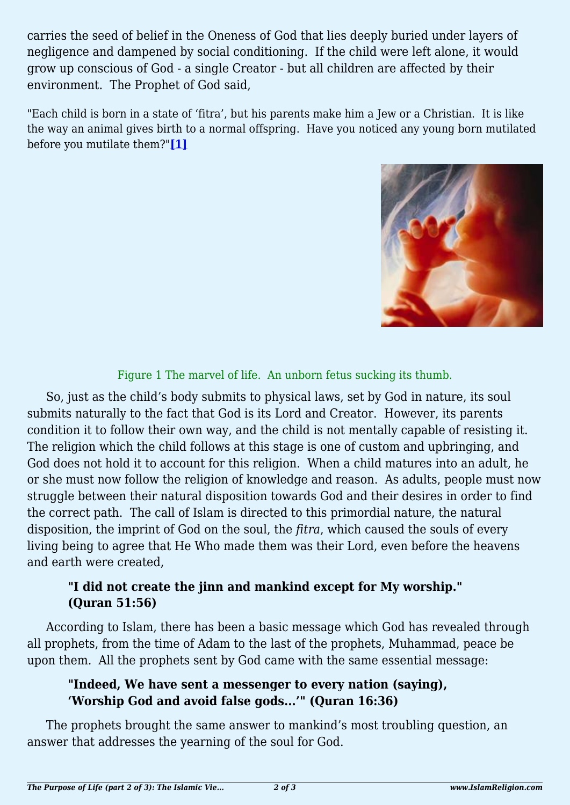carries the seed of belief in the Oneness of God that lies deeply buried under layers of negligence and dampened by social conditioning. If the child were left alone, it would grow up conscious of God - a single Creator - but all children are affected by their environment. The Prophet of God said,

<span id="page-1-0"></span>"Each child is born in a state of 'fitra', but his parents make him a Jew or a Christian. It is like the way an animal gives birth to a normal offspring. Have you noticed any young born mutilated before you mutilate them?"**[\[1\]](#page-2-0)**



#### Figure 1 The marvel of life. An unborn fetus sucking its thumb.

So, just as the child's body submits to physical laws, set by God in nature, its soul submits naturally to the fact that God is its Lord and Creator. However, its parents condition it to follow their own way, and the child is not mentally capable of resisting it. The religion which the child follows at this stage is one of custom and upbringing, and God does not hold it to account for this religion. When a child matures into an adult, he or she must now follow the religion of knowledge and reason. As adults, people must now struggle between their natural disposition towards God and their desires in order to find the correct path. The call of Islam is directed to this primordial nature, the natural disposition, the imprint of God on the soul, the *fitra*, which caused the souls of every living being to agree that He Who made them was their Lord, even before the heavens and earth were created,

#### **"I did not create the jinn and mankind except for My worship." (Quran 51:56)**

According to Islam, there has been a basic message which God has revealed through all prophets, from the time of Adam to the last of the prophets, Muhammad, peace be upon them. All the prophets sent by God came with the same essential message:

#### **"Indeed, We have sent a messenger to every nation (saying), 'Worship God and avoid false gods...'" (Quran 16:36)**

The prophets brought the same answer to mankind's most troubling question, an answer that addresses the yearning of the soul for God.